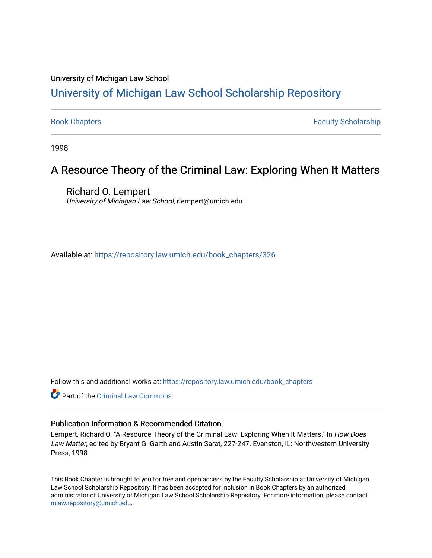#### University of Michigan Law School

## [University of Michigan Law School Scholarship Repository](https://repository.law.umich.edu/)

[Book Chapters](https://repository.law.umich.edu/book_chapters) Faculty Scholarship

1998

### A Resource Theory of the Criminal Law: Exploring When It Matters

Richard O. Lempert University of Michigan Law School, rlempert@umich.edu

Available at: [https://repository.law.umich.edu/book\\_chapters/326](https://repository.law.umich.edu/book_chapters/326) 

Follow this and additional works at: [https://repository.law.umich.edu/book\\_chapters](https://repository.law.umich.edu/book_chapters?utm_source=repository.law.umich.edu%2Fbook_chapters%2F326&utm_medium=PDF&utm_campaign=PDFCoverPages)

**C** Part of the Criminal Law Commons

### Publication Information & Recommended Citation

Lempert, Richard O. "A Resource Theory of the Criminal Law: Exploring When It Matters." In How Does Law Matter, edited by Bryant G. Garth and Austin Sarat, 227-247. Evanston, IL: Northwestern University Press, 1998.

This Book Chapter is brought to you for free and open access by the Faculty Scholarship at University of Michigan Law School Scholarship Repository. It has been accepted for inclusion in Book Chapters by an authorized administrator of University of Michigan Law School Scholarship Repository. For more information, please contact [mlaw.repository@umich.edu.](mailto:mlaw.repository@umich.edu)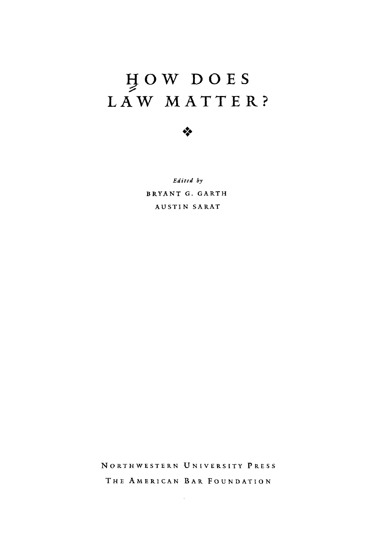# **IJOW DOES**  ;,, **LAW MATTER?**

❖

*Edited by*  BRYANT G. GARTH AUSTIN SARAT

NORTHWESTERN UNIVERSITY PRESS

THE AMERICAN BAR FOUNDATION

 $\sim$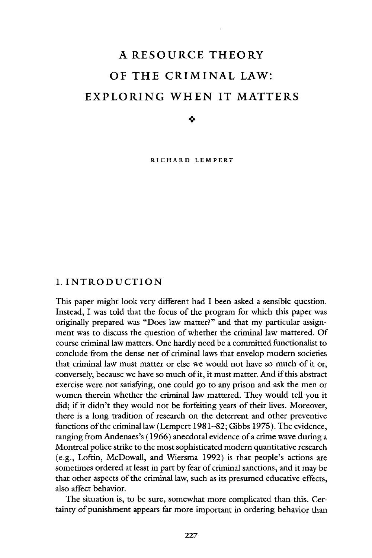# **A RESOURCE THEORY OF THE CRIMINAL LAW: EXPLORING WHEN IT MATTERS**

❖

RICHARD LEMPERT

#### 1. **INTRODUCTION**

This paper might look very different had I been asked a sensible question. Instead, I was told that the focus of the program for which this paper was originally prepared was "Does law matter?" and that my particular assignment was to discuss the question of whether the criminal law mattered. Of course criminal law matters. One hardly need be a committed functionalist to conclude from the dense net of criminal laws that envelop modern societies that criminal law must matter or else we would not have so much of it or, conversely, because we have so much of it, it must matter. And if this abstract exercise were not satisfying, one could go to any prison and ask the men or women therein whether the criminal law mattered. They would tell you it did; if it didn't they would not be forfeiting years of their lives. Moreover, there is a long tradition of research on the deterrent and other preventive functions of the criminal law (Lempert 1981-82; Gibbs 1975). The evidence, ranging from Andenaes's ( 1966) anecdotal evidence of a crime wave during a Montreal police strike to the most sophisticated modern quantitative research (e.g., Loftin, McDowall, and Wiersma 1992) is that people's actions are sometimes ordered at least in part by fear of criminal sanctions, and it may be that other aspects of the criminal law, such as its presumed educative effects, also affect behavior.

The situation is, to be sure, somewhat more complicated than this. Certainty of punishment appears far more important in ordering behavior than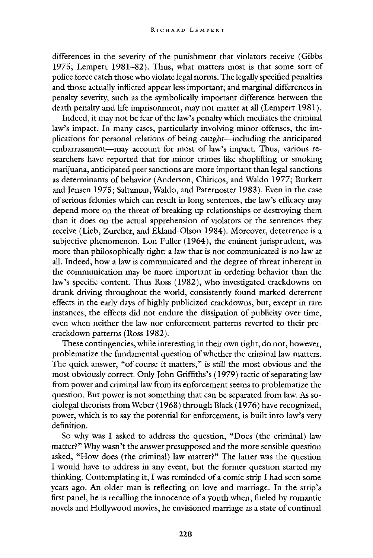differences in the severity of the punishment that violators receive ( Gibbs 1975; Lempert 1981-82). Thus, what matters most is that some sort of police force catch those who violate legal norms. The legally specified penalties and those actually inflicted appear less important; and marginal differences in penalty severity, such as the symbolically important difference between the death penalty and life imprisonment, may not matter at all (Lempert 1981).

Indeed, it may not be fear of the law's penalty which mediates the criminal law's impact. In many cases, particularly involving minor offenses, the implications for personal relations of being caught-including the anticipated embarrassment-may account for most of law's impact. Thus, various researchers have reported that for minor crimes like shoplifting or smoking marijuana, anticipated peer sanctions are more important than legal sanctions as determinants of behavior (Anderson, Chiricos, and Waldo 1977; Burkett and Jensen 1975; Saltzman, Waldo, and Paternoster 1983). Even in the case of serious felonies which can result in long sentences, the law's efficacy may depend more on the threat of breaking up relationships or destroying them than it does on the actual apprehension of violators or the sentences they receive (Lieb, Zurcher, and Ekland-Olson 1984). Moreover, deterrence is a subjective phenomenon. Lon Fuller (1964), the eminent jurisprudent, was more than philosophically right: a law that is not communicated is no law at all. Indeed, how a law is communicated and the degree of threat inherent in the communication may be more important in ordering behavior than the law's specific content. Thus Ross (1982), who investigated crackdowns on drunk driving throughout the world, consistently found marked deterrent effects in the early days of highly publicized crackdowns, but, except in rare instances, the effects did not endure the dissipation of publicity over time, even when neither the law nor enforcement patterns reverted to their precrackdown patterns (Ross 1982).

These contingencies, while interesting in their own right, do not, however, problematize the fundamental question of whether the criminal law matters. The quick answer, "of course it matters," is still the most obvious and the most obviously correct. Only John Griffiths 's ( 1979) tactic of separating law from power and criminal law from its enforcement seems to problematize the question. But power is not something that can be separated from law. As sociolegal theorists from Weber (1968) through Black (1976) have recognized, power, which is to say the potential for enforcement, is built into law's very definition.

So why was I asked to address the question, "Does (the criminal) law matter?" Why wasn't the answer presupposed and the more sensible question asked, "How does (the criminal) law matter?" The latter was the question I would have to address in any event, but the former question started my thinking. Contemplating it, I was reminded of a comic strip I had seen some years ago. An older man is reflecting on love and marriage. In the strip's first panel, he is recalling the innocence of a youth when, fueled by romantic novels and Hollywood movies, he envisioned marriage as a state of continual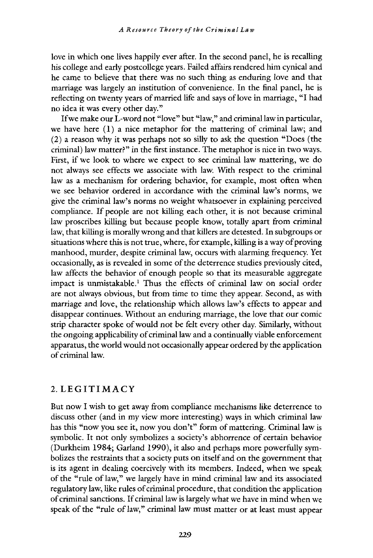love in which one lives happily ever after. In the second panel, he is recalling his college and early postcollege years. Failed affairs rendered him cynical and he came to believe that there was no such thing as enduring love and that marriage was largely an institution of convenience. In the final panel, he is reflecting on twenty years of married life and says of love in marriage, "I had no idea it was every other day."

If we make our L-word not "love" but "law," and criminal law in particular, we have here  $(1)$  a nice metaphor for the mattering of criminal law; and (2) a reason why it was perhaps not so silly to ask the question "Does (the criminal) law matter?" in the first instance. The metaphor is nice in two ways. First, if we look to where we expect to see criminal law mattering, we do not always see effects we associate with law. With respect to the criminal law as a mechanism for ordering behavior, for example, most often when we see behavior ordered in accordance with the criminal law's norms, we give the criminal law's norms no weight whatsoever in explaining perceived compliance. If people are not killing each other, it is not because criminal law proscribes killing but because people know, totally apart from criminal law, that killing is morally wrong and that killers are detested. In subgroups or situations where this is not true, where, for example, killing is a way of proving manhood, murder, despite criminal law, occurs with alarming frequency. Yet occasionally, as is revealed in some of the deterrence studies previously cited, law affects the behavior of enough people so that its measurable aggregate impact is unmistakable.<sup>1</sup> Thus the effects of criminal law on social order are not always obvious, but from time to time they appear. Second, as with marriage and love, the relationship which allows law's effects to appear and disappear continues. Without an enduring marriage, the love that our comic strip character spoke of would not be felt every other day. Similarly, without the ongoing applicability of criminal law and a continually viable enforcement apparatus, the world would not occasionally appear ordered by the application of criminal law.

#### 2. **LEGITIMACY**

But now I wish to get away from compliance mechanisms like deterrence to discuss other (and in my view more interesting) ways in which criminal law has this "now you see it, now you don't" form of mattering. Criminal law is symbolic. It not only symbolizes a society's abhorrence of certain behavior (Durkheim 1984; Garland 1990), it also and perhaps more powerfully symbolizes the restraints that a society puts on itself and on the government that is its agent in dealing coercively with its members. Indeed, when we speak of the "rule of law," we largely have in mind criminal law and its associated regulatory law, like rules of criminal procedure, that condition the application of criminal sanctions. If criminal law is largely what we have in mind when we speak of the "rule of law," criminal law must matter or at least must appear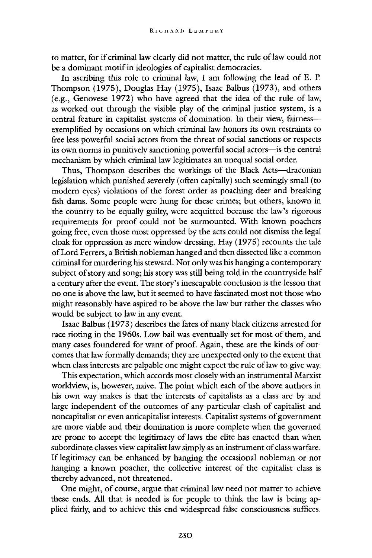to matter, for if criminal law clearly did not matter, the rule of law could not be a dominant motif in ideologies of capitalist democracies.

In ascribing this role to criminal law, I am following the lead of E. P. Thompson (1975), Douglas Hay (1975), Isaac Balbus (1973), and others (e.g., Genovese 1972) who have agreed that the idea of the rule of law, as worked out through the visible play of the criminal justice system, is a central feature in capitalist systems of domination. In their view, fairnessexemplified by occasions on which criminal law honors its own restraints to free less powerful social actors from the threat of social sanctions or respects its own norms in punitively sanctioning powerful social actors-is the central mechanism by which criminal law legitimates an unequal social order.

Thus, Thompson describes the workings of the Black Acts-draconian legislation which punished severely ( often capitally) such seemingly small ( to modern eyes) violations of the forest order as poaching deer and breaking fish dams. Some people were hung for these crimes; but others, known in the country to be equally guilty, were acquitted because the law's rigorous requirements for proof could not be surmounted. With known poachers going free, even those most oppressed by the acts could not dismiss the legal cloak for oppression as mere window dressing. Hay ( 1975) recounts the tale of Lord Ferrers, a British nobleman hanged and then dissected like a common criminal for murdering his steward. Not only was his hanging a contemporary subject of story and song; his story was still being told in the countryside half a century after the event. The story's inescapable conclusion is the lesson that no one is above the law, but it seemed to have fascinated most not those who might reasonably have aspired to be above the law but rather the classes who would be subject to law in any event.

Isaac Balbus (1973) describes the fates of many black citizens arrested for race rioting in the 1960s. Low bail was eventually set for most of them, and many cases foundered for want of proof. Again, these are the kinds of outcomes that law formally demands; they are unexpected only to the extent that when class interests are palpable one might expect the rule of law to give way.

This expectation, which accords most closely with an instrumental Marxist worldview, is, however, naive. The point which each of the above authors in his own way makes is that the interests of capitalists as a class are by and large independent of the outcomes of any particular clash of capitalist and noncapitalist or even anticapitalist interests. Capitalist systems of government are more viable and their domination is more complete when the governed are prone to accept the legitimacy of laws the elite has enacted than when subordinate classes view capitalist law simply as an instrument of class warfare. If legitimacy can be enhanced by hanging the occasional nobleman or not hanging a known poacher, the collective interest of the capitalist class is thereby advanced, not threatened.

One might, of course, argue that criminal law need not matter to achieve these ends. All that is needed is for people to think the law is being applied fairly, and to achieve this end widespread false consciousness suffices.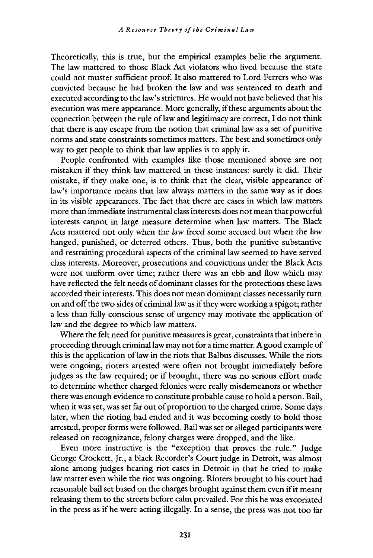Theoretically, this is true, but the empirical examples belie the argument. The law mattered to those Black Act violators who lived because the state could not muster sufficient proof. It also mattered to Lord Ferrers who was convicted because he had broken the law and was sentenced to death and executed according to the law's strictures. He would not have believed that his execution was mere appearance. More generally, if these arguments about the connection between the rule oflaw and legitimacy are correct, I do not think that there is any escape from the notion that criminal law as a set of punitive norms and state constraints sometimes matters. The best and sometimes only way to get people to think that law applies is to apply it.

People confronted with examples like those mentioned above are not mistaken if they think law mattered in these instances: surely it did. Their mistake, if they make one, is to think that the clear, visible appearance of law's importance means that law always matters in the same way as it does in its visible appearances. The fact that there are cases in which law matters more than immediate instrumental class interests does not mean that powerful interests cannot in large measure determine when law matters. The Black Acts mattered not only when the law freed some accused but when the law hanged, punished, or deterred others. Thus, both the punitive substantive and restraining procedural aspects of the criminal law seemed to have served class interests. Moreover, prosecutions and convictions under the Black Acts were not uniform over time; rather there was an ebb and flow which may have reflected the felt needs of dominant classes for the protections these laws accorded their interests. This does not mean dominant classes necessarily turn on and off the two sides of criminal law as if they were working a spigot; rather a less than fully conscious sense of urgency may motivate the application of law and the degree to which law matters.

Where the felt need for punitive measures is great, constraints that inhere in proceeding through criminal law may not for a time matter. A good example of this is the application of law in the riots that Balbus discusses. While the riots were ongoing, rioters arrested were often not brought immediately before judges as the law required; or if brought, there was no serious effort made to determine whether charged felonies were really misdemeanors or whether there was enough evidence to constitute probable cause to hold a person. Bail, when it was set, was set far out of proportion to the charged crime. Some days later, when the rioting had ended and it was becoming costly to hold those arrested, proper forms were followed. Bail was set or alleged participants were released on recognizance, felony charges were dropped, and the like.

Even more instructive is the "exception that proves the rule." Judge George Crockett, Jr., a black Recorder's Court judge in Detroit, was almost alone among judges hearing riot cases in Detroit in that he tried to make law matter even while the riot was ongoing. Rioters brought to his court had reasonable bail set based on the charges brought against them even ifit meant releasing them to the streets before calm prevailed. For this he was excoriated in the press as if he were acting illegally. In a sense, the press was not too far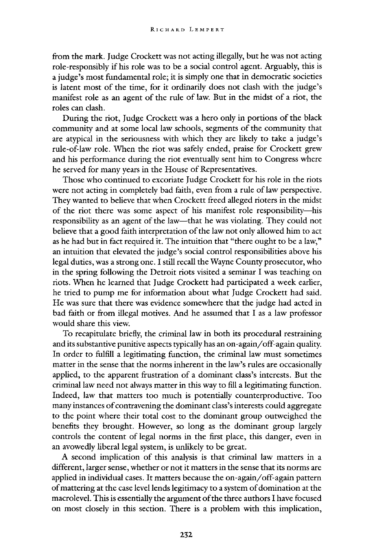from the mark. Judge Crockett was not acting illegally, but he was not acting role-responsibly if his role was to be a social control agent. Arguably, this is a judge's most fundamental role; it is simply one that in democratic societies is latent most of the time, for it ordinarily does not clash with the judge's manifest role as an agent of the rule of law. But in the midst of a riot, the roles can clash.

During the riot, Judge Crockett was a hero only in portions of the black community and at some local law schools, segments of the community that are atypical in the seriousness with which they are likely to take a judge's rule-of-law role. When the riot was safely ended, praise for Crockett grew and his performance during the riot eventually sent him to Congress where he served for many years in the House of Representatives.

Those who continued to excoriate Judge Crockett for his role in the riots were not acting in completely bad faith, even from a rule of law perspective. They wanted to believe that when Crockett freed alleged rioters in the midst of the riot there was some aspect of his manifest role responsibility-his responsibility as an agent of the law-that he was violating. They could not believe that a good faith interpretation of the law not only allowed him to act as he had but in fact required it. The intuition that "there ought to be a law," an intuition that elevated the judge's social control responsibilities above his legal duties, was a strong one. I still recall the Wayne County prosecutor, who in the spring following the Detroit riots visited a seminar I was teaching on riots. When he learned that Judge Crockett had participated a week earlier, he tried to pump me for information about what Judge Crockett had said. He was sure that there was evidence somewhere that the judge had acted in bad faith or from illegal motives. And he assumed that I as a law professor would share this view.

To recapitulate briefly, the criminal law in both its procedural restraining and its substantive punitive aspects typically has an on-again/ off-again quality. In order to fulfill a legitimating function, the criminal law must sometimes matter in the sense that the norms inherent in the law's rules are occasionally applied, to the apparent frustration of a dominant class's interests. But the criminal law need not always matter in this way to fill a legitimating function. Indeed, law that matters too much is potentially counterproductive. Too many instances of contravening the dominant class's interests could aggregate to the point where their total cost to the dominant group outweighed the benefits they brought. However, so long as the dominant group largely controls the content of legal norms in the first place, this danger, even in an avowedly liberal legal system, is unlikely to be great.

A second implication of this analysis is that criminal law matters in a different, larger sense, whether or not it matters in the sense that its norms are applied in individual cases. It matters because the on-again/off-again pattern of mattering at the case level lends legitimacy to a system of domination at the macrolevel. This is essentially the argument of the three authors I have focused on most closely in this section. There is a problem with this implication,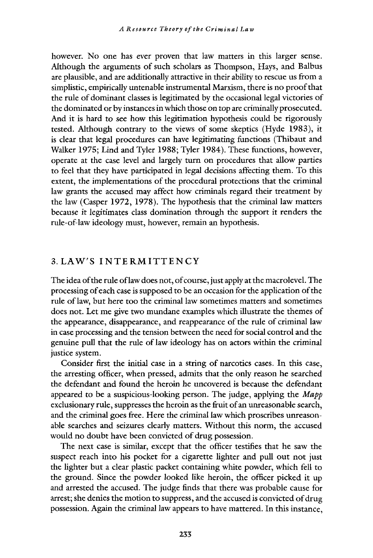however. No one has ever proven that law matters in this larger sense. Although the arguments of such scholars as Thompson, Hays, and Balbus are plausible, and are additionally attractive in their ability to rescue us from a simplistic, empirically untenable instrumental Marxism, there is no proof that the rule of dominant classes is legitimated by the occasional legal victories of the dominated or by instances in which those on top are criminally prosecuted. And it is hard to see how this legitimation hypothesis could be rigorously tested. Although contrary to the views of some skeptics (Hyde 1983), it is clear that legal procedures can have legitimating functions (Thibaut and Walker 1975; Lind and Tyler 1988; Tyler 1984). These functions, however, operate at the case level and largely turn on procedures that allow parties to feel that they have participated in legal decisions affecting them. To this extent, the implementations of the procedural protections that the criminal law grants the accused may affect how criminals regard their treatment by the law (Casper 1972, 1978). The hypothesis that the criminal law matters because it legitimates class domination through the support it renders the rule-of-law ideology must, however, remain an hypothesis.

### 3. **LAW'S INTERMITTENCY**

The idea of the rule oflaw does not, of course, just apply at the macrolevel. The processing of each case is supposed to be an occasion for the application of the rule of law, but here too the criminal law sometimes matters and sometimes does not. Let me give two mundane examples which illustrate the themes of the appearance, disappearance, and reappearance of the rule of criminal law in case processing and the tension between the need for social control and the genuine pull that the rule of law ideology has on actors within the criminal justice system.

Consider first the initial case in a string of narcotics cases. In this case, the arresting officer, when pressed, admits that the only reason he searched the defendant and found the heroin he uncovered is because the defendant appeared to be a suspicious-looking person. The judge, applying the *Mapp*  exclusionary rule, suppresses the heroin as the fruit of an unreasonable search, and the criminal goes free. Here the criminal law which proscribes unreasonable searches and seizures clearly matters. Without this norm, the accused would no doubt have been convicted of drug possession.

The next case is similar, except that the officer testifies that he saw the suspect reach into his pocket for a cigarette lighter and pull out not just the lighter but a clear plastic packet containing white powder, which fell to the ground. Since the powder looked like heroin, the officer picked it up and arrested the accused. The judge finds that there was probable cause for arrest; she denies the motion to suppress, and the accused is convicted of drug possession. Again the criminal law appears to have mattered. In this instance,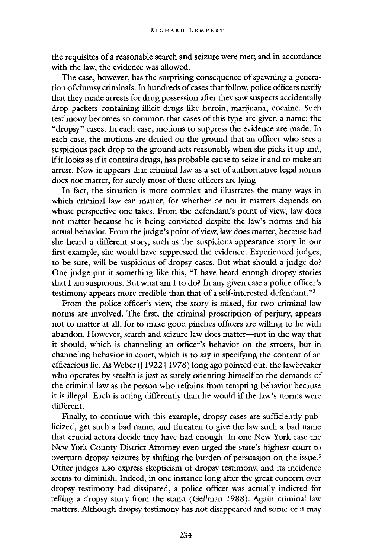the requisites of a reasonable search and seizure were met; and in accordance with the law, the evidence was allowed.

The case, however, has the surprising consequence of spawning a generation of clumsy criminals. In hundreds of cases that follow, police officers testify that they made arrests for drug possession after they saw suspects accidentally drop packets containing illicit drugs like heroin, marijuana, cocaine. Such testimony becomes so common that cases of this type are given a name: the "dropsy" cases. In each case, motions to suppress the evidence are made. In each case, the motions are denied on the ground that an officer who sees a suspicious pack drop to the ground acts reasonably when she picks it up and, if it looks as if it contains drugs, has probable cause to seize it and to make an arrest. Now it appears that criminal law as a set of authoritative legal norms does not matter, for surely most of these officers are lying.

In fact, the situation is more complex and illustrates the many ways in which criminal law can matter, for whether or not it matters depends on whose perspective one takes. From the defendant's point of view, law does not matter because he is being convicted despite the law's norms and his actual behavior. From the judge's point of view, law does matter, because had she heard a different story, such as the suspicious appearance story in our first example, she would have suppressed the evidence. Experienced judges, to be sure, will be suspicious of dropsy cases. But what should a judge do? One judge put it something like this, "I have heard enough dropsy stories that I am suspicious. But what am I to do? In any given case a police officer's testimony appears more credible than that of a self-interested defendant. "<sup>2</sup>

From the police officer's view, the story is mixed, for two criminal law norms are involved. The first, the criminal proscription of perjury, appears not to matter at all, for to make good pinches officers are willing to lie with abandon. However, search and seizure law does matter-not in the way that it should, which is channeling an officer's behavior on the streets, but in channeling behavior in court, which is to say in specifying the content of an efficacious lie. As Weber ([1922] 1978) long ago pointed out, the lawbreaker who operates by stealth is just as surely orienting himself to the demands of the criminal law as the person who refrains from tempting behavior because it is illegal. Each is acting differently than he would if the law's norms were different.

Finally, to continue with this example, dropsy cases are sufficiently publicized, get such a bad name, and threaten to give the law such a bad name that crucial actors decide they have had enough. In one New York case the New York County District Attorney even urged the state's highest court to overturn dropsy seizures by shifting the burden of persuasion on the issue.<sup>3</sup> Other judges also express skepticism of dropsy testimony, and its incidence seems to diminish. Indeed, in one instance long after the great concern over dropsy testimony had dissipated, a police officer was actually indicted for telling a dropsy story from the stand (Gellman 1988). Again criminal law matters. Although dropsy testimony has not disappeared and some of it may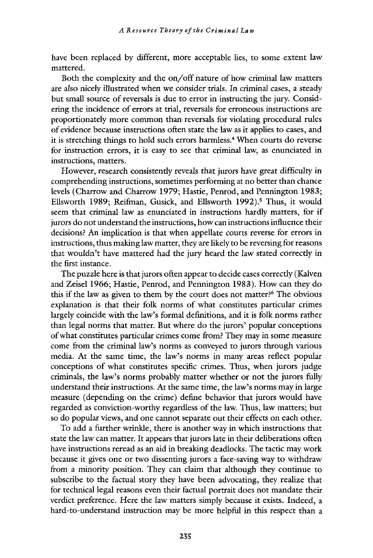have been replaced by different, more acceptable lies, to some extent law mattered.

Both the complexity and the on/off nature of how criminal law matters are also nicely illustrated when we consider trials. In criminal cases, a steady but small source of reversals is due to error in instructing the jury. Considering the incidence of errors at trial, reversals for erroneous instructions are proportionately more common than reversals for violating procedural rules of evidence because instructions often state the law as it applies to cases, and it is stretching things to hold such errors harmless.<sup>4</sup> When courts do reverse for instruction errors, it is easy to see that criminal law, as enunciated in instructions, matters.

However, research consistently reveals that jurors have great difficulty in comprehending instructions, sometimes performing at no better than chance levels (Charrow and Charrow 1979; Hastie, Penrod, and Pennington 1983; Ellsworth 1989; Reifman, Gusick, and Ellsworth 1992).<sup>5</sup> Thus, it would seem that criminal law as enunciated in instructions hardly matters, for if jurors do not understand the instructions, how can instructions influence their decisions? An implication is that when appellate courts reverse for errors in instructions, thus making law matter, they are likely to be reversing for reasons that wouldn't have mattered had the jury heard the law stated correctly in the first instance.

The puzzle here is that jurors often appear to decide cases correctly ( Kalven and Zeisel 1966; Hastie, Penrod, and Pennington 1983). How can they do this if the law as given to them by the court does not matter?6 The obvious explanation is that their folk norms of what constitutes particular crimes largely coincide with the law's formal definitions, and it is folk norms rather than legal norms that matter. But where do the jurors' popular conceptions of what constitutes particular crimes come from? They may in some measure come from the criminal law's norms as conveyed to jurors through various media. At the same time, the law's norms in many areas reflect popular conceptions of what constitutes specific crimes. Thus, when jurors judge criminals, the law's norms probably matter whether or not the jurors fully understand their instructions. At the same time, the law's norms may in large measure ( depending on the crime) define behavior that jurors would have regarded as conviction-worthy regardless of the law. Thus, law matters; but so do popular views, and one cannot separate out their effects on each other.

To add a further wrinkle, there is another way in which instructions that state the law can matter. It appears that jurors late in their deliberations often have instructions reread as an aid in breaking deadlocks. The tactic may work because it gives one or two dissenting jurors a face-saving way to withdraw from a minority position. They can claim that although they continue to subscribe to the factual story they have been advocating, they realize that for technical legal reasons even their factual portrait does not mandate their verdict preference. Here the law matters simply because it exists. Indeed, a hard-to-understand instruction may be more helpful in this respect than a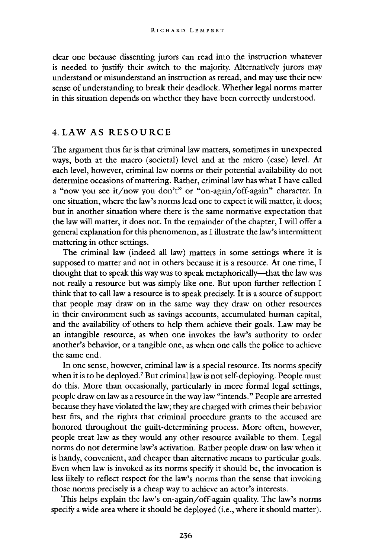clear one because dissenting jurors can read into the instruction whatever is needed to justify their switch to the majority. Alternatively jurors may understand or misunderstand an instruction as reread, and may use their new sense of understanding to break their deadlock. Whether legal norms matter in this situation depends on whether they have been correctly understood.

#### 4. **LAW AS RESOURCE**

The argument thus far is that criminal law matters, sometimes in unexpected ways, both at the macro (societal) level and at the micro (case) level. At each level, however, criminal law norms or their potential availability do not determine occasions of mattering. Rather, criminal law has what I have called a "now you see it/now you don't" or "on-again/off-again" character. In one situation, where the law's norms lead one to expect it will matter, it does; but in another situation where there is the same normative expectation that the law will matter, it does not. In the remainder of the chapter, I will offer a general explanation for this phenomenon, as I illustrate the law's intermittent mattering in other settings.

The criminal law (indeed all law) matters in some settings where it is supposed to matter and not in others because it is a resource. At one time, I thought that to speak this way was to speak metaphorically-that the law was not really a resource but was simply like one. But upon further reflection I think that to call law a resource is to speak precisely. It is a source of support that people may draw on in the same way they draw on other resources in their environment such as savings accounts, accumulated human capital, and the availability of others to help them achieve their goals. Law may be an intangible resource, as when one invokes the law's authority to order another's behavior, or a tangible one, as when one calls the police to achieve the same end.

In one sense, however, criminal law is a special resource. Its norms specify when it is to be deployed.<sup>7</sup> But criminal law is not self-deploying. People must do this. More than occasionally, particularly in more formal legal settings, people draw on law as a resource in the way law "intends." People are arrested because they have violated the law; they are charged with crimes their behavior best fits, and the rights that criminal procedure grants to the accused are honored throughout the guilt-determining process. More often, however, people treat law as they would any other resource available to them. Legal norms do not determine law's activation. Rather people draw on law when it is handy, convenient, and cheaper than alternative means to particular goals. Even when law is invoked as its norms specify it should be, the invocation is less likely to reflect respect for the law's norms than the sense that invoking those norms precisely is a cheap way to achieve an actor's interests.

This helps explain the law's on-again/off-again quality. The law's norms specify a wide area where it should be deployed (i.e., where it should matter).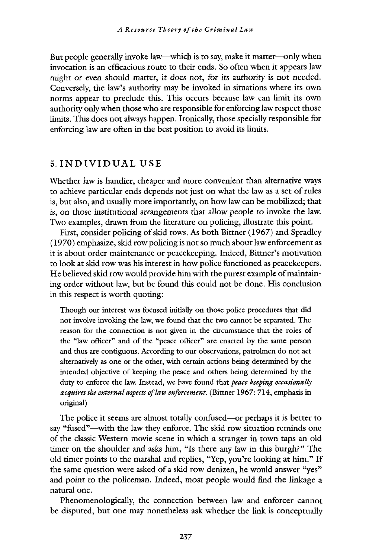But people generally invoke law—which is to say, make it matter—only when invocation is an efficacious route to their ends. So often when it appears law might or even should matter, it does not, for its authority is not *needed.*  Conversely, the law's authority may be invoked in situations where its own norms appear to preclude this. This occurs because law can limit its own authority only when those who are responsible for enforcing law respect those limits. This does not always happen. Ironically, those specially responsible for enforcing law are often in the best position to avoid its limits.

#### 5. **INDIVIDUAL USE**

Whether law is handier, cheaper and more convenient than alternative ways to achieve particular ends depends not just on what the law as a set of rules is, but also, and usually more importantly, on how law can be mobilized; that is, on those institutional arrangements that allow people to invoke the law. Two examples, drawn from the literature on policing, illustrate this point.

First, consider policing of skid rows. As both Bittner ( 1967) and Spradley ( 1970) emphasize, skid row policing is not so much about law enforcement as it is about order maintenance or peacekeeping. Indeed, Bittner's motivation to look at skid row was his interest in how police functioned as peacekeepers. He believed skid row would provide him with the purest example of maintaining order without law, but he found this could not be done. His conclusion in this respect is worth quoting:

Though our interest was focused initially on those police procedures that did not involve invoking the law, we found that the two cannot be separated. The reason for the connection is not given in the circumstance that the roles of the "law officer" and of the "peace officer" are enacted by the same person and thus are contiguous. According to our observations, patrolmen do not act alternatively as one or the other, with certain actions being determined by the intended objective of keeping the peace and others being determined by the duty to enforce the law. Instead, we have found that *peace keeping occasionally acquires the external aspects of law enforcement.* (Bittner 1967: 714, emphasis in original)

The police it seems are almost totally confused-or perhaps it is better to say "fused"-with the law they enforce. The skid row situation reminds one of the classic Western movie scene in which a stranger in town taps an old timer on the shoulder and asks him, "Is there any law in this burgh?" The old timer points to the marshal and replies, "Yep, you're looking at him." If the same question were asked of a skid row denizen, he would answer "yes" and point to the policeman. Indeed, most people would find the linkage a natural one.

Phenomenologically, the connection between law and enforcer cannot be disputed, but one may nonetheless ask whether the link is conceptually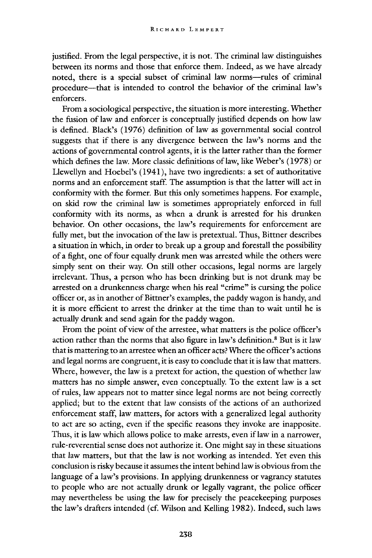justified. From the legal perspective, it is not. The criminal law distinguishes between its norms and those that enforce them. Indeed, as we have already noted, there is a special subset of criminal law norms-rules of criminal procedure-that is intended to control the behavior of the criminal law's enforcers.

From a sociological perspective, the situation is more interesting. Whether the fusion of law and enforcer is conceptually justified depends on how law is defined. Black's (1976) definition of law as governmental social control suggests that if there is any divergence between the law's norms and the actions of governmental control agents, it is the latter rather than the former which defines the law. More classic definitions of law, like Weber's (1978) or Llewellyn and Hoebel's (1941), have two ingredients: a set of authoritative norms and an enforcement staff. The assumption is that the latter will act in conformity with the former. But this only sometimes happens. For example, on skid row the criminal law is sometimes appropriately enforced in full conformity with its norms, as when a drunk is arrested for his drunken behavior. On other occasions, the law's requirements for enforcement are fully met, but the invocation of the law is pretextual. Thus, Bittner describes a situation in which, in order to break up a group and forestall the possibility of a fight, one of four equally drunk men was arrested while the others were simply sent on their way. On still other occasions, legal norms are largely irrelevant. Thus, a person who has been drinking but is not drunk may be arrested on a drunkenness charge when his real "crime" is cursing the police officer or, as in another of Bittner's examples, the paddy wagon is handy, and it is more efficient to arrest the drinker at the time than to wait until he is actually drunk and send again for the paddy wagon.

From the point of view of the arrestee, what matters is the police officer's action rather than the norms that also figure in law's definition. $8$  But is it law that is mattering to an arrestee when an officer acts? Where the officer's actions and legal norms are congruent, it is easy to conclude that it is law that matters. Where, however, the law is a pretext for action, the question of whether law matters has no simple answer, even conceptually. To the extent law is a set of rules, law appears not to matter since legal norms are not being correctly applied; but to the extent that law consists of the actions of an authorized enforcement staff, law matters, for actors with a generalized legal authority to act are so acting, even if the specific reasons they invoke are inapposite. Thus, it is law which allows police to make arrests, even if law in a narrower, rule-reverential sense does not authorize it. One might say in these situations that law matters, but that the law is not working as intended. Yet even this conclusion is risky because it assumes the intent behind law is obvious from the language of a law's provisions. In applying drunkenness or vagrancy statutes to people who are not actually drunk or legally vagrant, the police officer may nevertheless be using the law for precisely the peacekeeping purposes the law's drafters intended (cf. Wilson and Kelling 1982). Indeed, such laws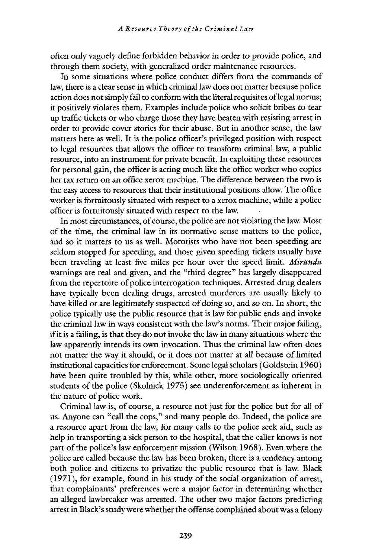often only vaguely define forbidden behavior in order to provide police, and through them society, with generalized order maintenance resources.

In some situations where police conduct differs from the commands of law, there is a clear sense in which criminal law does not matter because police action does not simply fail to conform with the literal requisites of legal norms; it positively violates them. Examples include police who solicit bribes to tear up traffic tickets or who charge those they have beaten with resisting arrest in order to provide cover stories for their abuse. But in another sense, the law matters here as well. It is the police officer's privileged position with respect to legal resources that allows the officer to transform criminal law, a public resource, into an instrument for private benefit. In exploiting these resources for personal gain, the officer is acting much like the office worker who copies her tax return on an office xerox machine. The difference between the two is the easy access to resources that their institutional positions allow. The office worker is fortuitously situated with respect to a xerox machine, while a police officer is fortuitously situated with respect to the law.

In most circumstances, of course, the police are not violating the law. Most of the time, the criminal law in its normative sense matters to the police, and so it matters to us as well. Motorists who have not been speeding are seldom stopped for speeding, and those given speeding tickets usually have been traveling at least five miles per hour over the speed limit. *Miranda*  warnings are real and given, and the "third degree" has largely disappeared from the repertoire of police interrogation techniques. Arrested drug dealers have typically been dealing drugs, arrested murderers are usually likely to have killed or are legitimately suspected of doing so, and so on. In short, the police typically use the public resource that is law for public ends and invoke the criminal law in ways consistent with the law's norms. Their major failing, ifit is a failing, is that they do not invoke the law in many situations where the law apparently intends its own invocation. Thus the criminal law often does not matter the way it should, or it does not matter at all because of limited institutional capacities for enforcement. Some legal scholars ( Goldstein 1960) have been quite troubled by this, while other, more sociologically oriented students of the police (Skolnick 1975) see underenforcement as inherent in the nature of police work.

Criminal law is, of course, a resource not just for the police but for all of us. Anyone can "call the cops," and many people do. Indeed, the police are a resource apart from the law, for many calls to the police seek aid, such as help in transporting a sick person to the hospital, that the caller knows is not part of the police's law enforcement mission (Wilson 1968). Even where the police are called because the law has been broken, there is a tendency among both police and citizens to privatize the public resource that is law. Black (1971), for example, found in his study of the social organization of arrest, that complainants' preferences were a major factor in determining whether an alleged lawbreaker was arrested. The other two major factors predicting arrest in Black's study were whether the offense complained about was a felony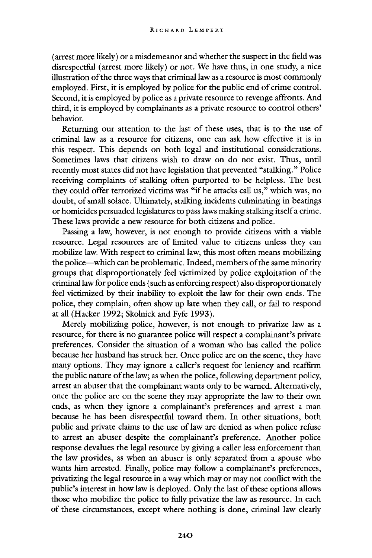( arrest more likely) or a misdemeanor and whether the suspect in the field was disrespectful (arrest more likely) or not. We have thus, in one study, a nice illustration of the three ways that criminal law as a resource is most commonly employed. First, it is employed by police for the public end of crime control. Second, it is employed by police as a private resource to revenge affronts. And third, it is employed by complainants as a private resource to control others' behavior.

Returning our attention to the last of these uses, that is to the use of criminal law as a resource for citizens, one can ask how effective it is in this respect. This depends on both legal and institutional considerations. Sometimes laws that citizens wish to draw on do not exist. Thus, until recently most states did not have legislation that prevented "stalking." Police receiving complaints of stalking often purported to be helpless. The best they could offer terrorized victims was "if he attacks call us," which was, no doubt, of small solace. Ultimately, stalking incidents culminating in beatings or homicides persuaded legislatures to pass laws making stalking itself a crime. These laws provide a new resource for both citizens and police.

Passing a law, however, is not enough to provide citizens with a viable resource. Legal resources are of limited value to citizens unless they can mobilize law. With respect to criminal law, this most often means mobilizing the police-which can be problematic. Indeed, members of the same minority groups that disproportionately feel victimized by police exploitation of the criminal law for police ends ( such as enforcing respect) also disproportionately feel victimized by their inability to exploit the law for their own ends. The police, they complain, often show up late when they call, or fail to respond at all (Hacker 1992; Skolnick and Fyfe 1993).

Merely mobilizing police, however, is not enough to privatize law as a resource, for there is no guarantee police will respect a complainant's private preferences. Consider the situation of a woman who has called the police because her husband has struck her. Once police are on the scene, they have many options. They may ignore a caller's request for leniency and reaffirm the public nature of the law; as when the police, following department policy, arrest an abuser that the complainant wants only to be warned. Alternatively, once the police are on the scene they may appropriate the law to their own ends, as when they ignore a complainant's preferences and arrest a man because he has been disrespectful toward them. In other situations, both public and private claims to the use of law are denied as when police refuse to arrest an abuser despite the complainant's preference. Another police response devalues the legal resource by giving a caller less enforcement than the law provides, as when an abuser is only separated from a spouse who wants him arrested. Finally, police may follow a complainant's preferences, privatizing the legal resource in a way which may or may not conflict with the public's interest in how law is deployed. Only the last of these options allows those who mobilize the police to fully privatize the law as resource. In each of these circumstances, except where nothing is done, criminal law clearly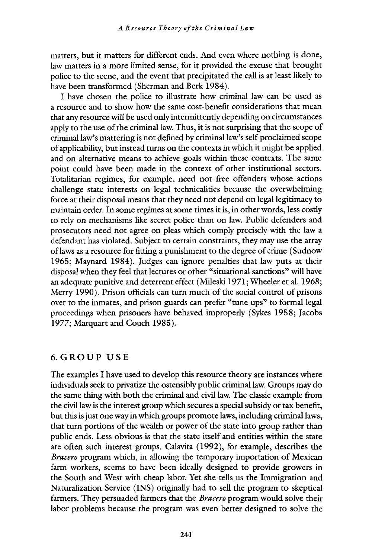matters, but it matters for different ends. And even where nothing is done, law matters in a more limited sense, for it provided the excuse that brought police to the scene, and the event that precipitated the call is at least likely to have been transformed (Sherman and Berk 1984).

I have chosen the police to illustrate how criminal law can be used as a resource and to show how the same cost-benefit considerations that mean that any resource will be used only intermittently depending on circumstances apply to the use of the criminal law. Thus, it is not surprising that the scope of criminal law's mattering is not defined by criminal law's self-proclaimed scope of applicability, but instead turns on the contexts in which it might be applied and on alternative means to achieve goals within these contexts. The same point could have been made in the context of other institutional sectors. Totalitarian regimes, for example, need not free offenders whose actions challenge state interests on legal technicalities because the overwhelming force at their disposal means that they need not depend on legal legitimacy to maintain order. In some regimes at some times it is, in other words, less costly to rely on mechanisms like secret police than on law. Public defenders and prosecutors need not agree on pleas which comply precisely with the law a defendant has violated. Subject to certain constraints, they may use the array oflaws as a resource for fitting a punishment to the degree of crime (Sudnow 1965; Maynard 1984). Judges can ignore penalties that law puts at their disposal when they feel that lectures or other "situational sanctions" will have an adequate punitive and deterrent effect (Mileski 1971; Wheeler et al. 1968; Merry 1990). Prison officials can turn much of the social control of prisons over to the inmates, and prison guards can prefer "tune ups" to formal legal proceedings when prisoners have behaved improperly (Sykes 1958; Jacobs 1977; Marquart and Couch 1985).

#### 6. GROUP USE

The examples I have used to develop this resource theory are instances where individuals seek to privatize the ostensibly public criminal law. Groups may do the same thing with both the criminal and civil law. The classic example from the civil law is the interest group which secures a special subsidy or tax benefit, but this is just one way in which groups promote laws, including criminal laws, that turn portions of the wealth or power of the state into group rather than public ends. Less obvious is that the state itself and entities within the state are often such interest groups. Calavita (1992), for example, describes the *Bracero* program which, in allowing the temporary importation of Mexican farm workers, seems to have been ideally designed to provide growers in the South and West with cheap labor. Yet she tells us the Immigration and Naturalization Service (INS) originally had to sell the program to skeptical farmers. They persuaded farmers that the *Bracero* program would solve their labor problems because the program was even better designed to solve the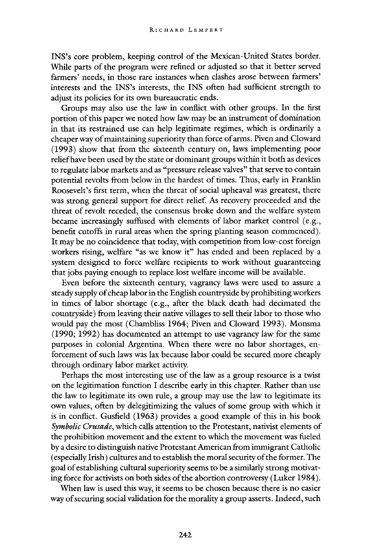INS's core problem, keeping control of the Mexican-United States border. While parts of the program were refined or adjusted so that it better served farmers' needs, in those rare instances when dashes arose between farmers' interests and the INS's interests, the INS often had sufficient strength to adjust its policies for its own bureaucratic ends.

Groups may also use the law in conflict with other groups. In the first portion of this paper we noted how law may be an instrument of domination in that its restrained use can help legitimate regimes, which is ordinarily a cheaper way of maintaining superiority than force of arms. Piven and Cloward (1993) show that from the sixteenth century on, laws implementing poor relief have been used by the state or dominant groups within it both as devices to regulate labor markets and as "pressure release valves" that serve to contain potential revolts from below in the hardest of times. Thus, early in Franklin Roosevelt's first term, when the threat of social upheaval was greatest, there was strong general support for direct relief. As recovery proceeded and the threat of revolt receded, the consensus broke down and the welfare system became increasingly suffused with elements of labor market control (e.g., benefit cutoffs in rural areas when the spring planting season commenced). It may be no coincidence that today, with competition from low-cost foreign workers rising, welfare "as we know it" has ended and been replaced by a system designed to force welfare recipients to work without guaranteeing that jobs paying enough to replace lost welfare income will be available.

Even before the sixteenth century, vagrancy laws were used to assure a steady supply of cheap labor in the English countryside by prohibiting workers in times of labor shortage (e.g., after the black death had decimated the countryside) from leaving their native villages to sell their labor to those who would pay the most (Chambliss 1964; Piven and Cloward 1993). Monsma (1990; 1992) has documented an attempt to use vagrancy law for the same purposes in colonial Argentina. When there were no labor shortages, enforcement of such laws was lax because labor could be secured more cheaply through ordinary labor market activity.

Perhaps the most interesting use of the law as a group resource is a twist on the legitimation function I describe early in this chapter. Rather than use the law to legitimate its own rule, a group may use the law to legitimate its own values, often by delegitimizing the values of some group with which it is in conflict. Gusfield (1963) provides a good example of this in his book *Symbolic Crusade,* which calls attention to the Protestant, nativist elements of the prohibition movement and the extent to which the movement was fueled by a desire to distinguish native Protestant American from immigrant Catholic ( especially Irish) cultures and to establish the moral security of the former. The goal of establishing cultural superiority seems to be a similarly strong motivating force for activists on both sides of the abortion controversy (Luker 1984).

When law is used this way, it seems to be chosen because there is no easier way of securing social validation for the morality a group asserts. Indeed, such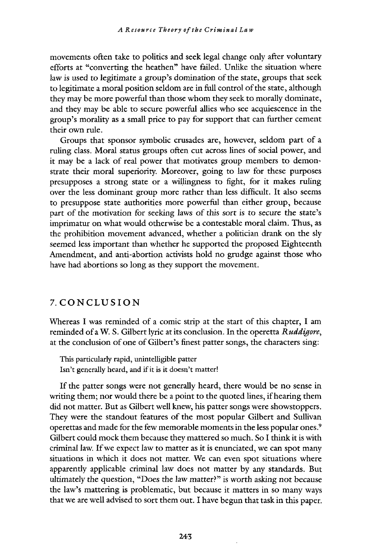movements often take to politics and seek legal change only after voluntary efforts at "converting the heathen" have failed. Unlike the situation where law is used to legitimate a group's domination of the state, groups that seek to legitimate a moral position seldom are in full control of the state, although they may be more powerful than those whom they seek to morally dominate, and they may be able to secure powerful allies who see acquiescence in the group's morality as a small price to pay for support that can further cement their own rule.

Groups that sponsor symbolic crusades are, however, seldom part of a ruling class. Moral status groups often cut across lines of social power, and it may be a lack of real power that motivates group members to demonstrate their moral superiority. Moreover, going to law for these purposes presupposes a strong state or a willingness to fight, for it makes ruling over the less dominant group more rather than less difficult. It also seems to presuppose state authorities more powerful than either group, because part of the motivation for seeking laws of this sort is to secure the state's imprimatur on what would otherwise be a contestable moral claim. Thus, as the prohibition movement advanced, whether a politician drank on the sly seemed less important than whether he supported the proposed Eighteenth Amendment, and anti-abortion activists hold no grudge against those who have had abortions so long as they support the movement.

#### 7. **CONCLUSION**

Whereas I was reminded of a comic strip at the start of this chapter, I am reminded of a W. S. Gilbert lyric at its conclusion. In the operetta *Ruddigore,*  at the conclusion of one of Gilbert's finest patter songs, the characters sing:

This particularly rapid, unintelligible patter Isn't generally heard, and if it is it doesn't matter!

If the patter songs were not generally heard, there would be no sense in writing them; nor would there be a point to the quoted lines, if hearing them did not matter. But as Gilbert well knew, his patter songs were showstoppers. They were the standout features of the most popular Gilbert and Sullivan operettas and made for the few memorable moments in the less popular ones.<sup>9</sup> Gilbert could mock them because they mattered so much. So I think it is with criminal law. If we expect law to matter as it is enunciated, we can spot many situations in which it does not matter. We can even spot situations where apparently applicable criminal law does not matter by any standards. But ultimately the question, "Does the law matter?" is worth asking not because the law's mattering is problematic, but because it matters in so many ways that we are well advised to sort them out. I have begun that task **in** this paper.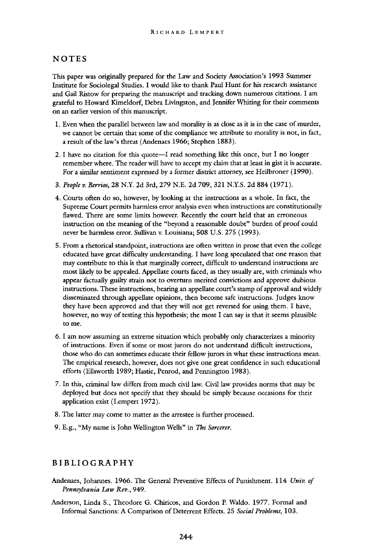#### **NOTES**

This paper was originally prepared for the Law and Society Association's 1993 Summer Institute for Sociolegal Studies. I would like to thank Paul Hunt for his research assistance and Gail Ristow for preparing the manuscript and tracking down numerous citations. I am grateful to Howard Kimeldorf, Debra Livingston, and Jennifer Whiting for their comments on an earlier version of this manuscript.

- 1. Even when the parallel between law and morality is as close as it is in the case of murder, we cannot be certain that some of the compliance we attribute to morality is not, in fact, a result of the law's threat (Andenaes 1966; Stephen 1883).
- 2. I have no citation for this quote-I read something like this once, but I no longer remember where. The reader will have to accept my claim that at least in gist it is accurate. For a similar sentiment expressed by a former district attorney, see Heilbroner (1990).
- 3. *People v. Berrios,* 28 N.Y. 2d 3rd, 279 N.E. 2d 709,321 N.Y.S. 2d 884 (1971).
- 4. Courts often do so, however, by looking at the instructions as a whole. In fact, the Supreme Court permits harmless error analysis even when instructions are constitutionally flawed. There are some limits however. Recently the court held that an erroneous instruction on the meaning of the "beyond a reasonable doubt" burden of proof could never be harmless error. Sullivan v. Louisiana; 508 U.S. 275 (1993).
- 5. From a rhetorical standpoint, instructions are often written in prose that even the college educated have great difficulty understanding. I have long speculated that one reason that may contribute to this is that marginally correct, difficult to understand instructions are most likely to be appealed. Appellate courts faced, as they usually are, with criminals who appear factually guilty strain not to overrurn merited convictions and approve dubious instructions. These instructions, bearing an appellate court's stamp of approval and widely disseminated through appellate opinions, then become safe instructions. Judges know they have been approved and that they will not get reversed for using them. I have, however, no way of testing this hypothesis; the most I can say is that it seems plausible to me.
- 6. I am now assuming an extreme situation which probably only characterizes a minority of instructions. Even if some or most jurors do not understand difficult instructions, those who do can sometimes educate their fellow jurors in what these instructions mean. The empirical research, however, does not give one great confidence in such educational efforts (Ellsworth 1989; Hastie, Penrod, and Pennington 1983).
- 7. In this, criminal law differs from much civil law. Civil law provides norms that may be deployed but does not specify that they should be simply because occasions for their application exist (Lempert 1972).
- 8. The latter may come to matter as the arrestee is further processed.
- 9. E.g., "My name is John Wellington Wells" in *The Sorcerer.*

#### **BIBLIOGRAPHY**

- Andenaes, Johannes. 1966. The General Preventive Effects of Punishment. 114 *Univ. of Pennsylvania Law Rev.,* 949.
- Anderson, Linda S., Theodore G. Chiricos, and Gordon P. Waldo. 1977. Formal and Informal Sanctions: A Comparison of Deterrent Effects. 25 *Social Problems,* 103.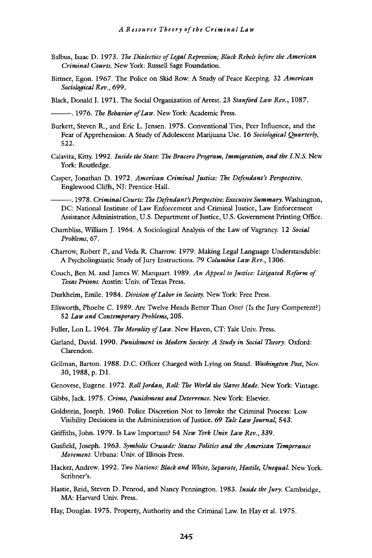- Bal bus, Isaac D. 1973. *The Dialectics of Legal Repression; Black Rebels before the American Criminal Courts.* New York: Russell Sage Foundation.
- Bittner, Egon. 1967. The Police on Skid Row: A Study of Peace Keeping. 32 *American Sociological Rev.,* 699.
- Black, Donald J. 1971. The Social Organization of Arrest. 23 *Stanford Law Rev.,* 1087.
- ---. 1976. *The Behavior of Law.* New York: Academic Press.
- Burkett, Steven R., and Eric L. Jensen. 1975. Conventional Ties, Peer Influence, and the Fear of Apprehension: A Study of Adolescent Marijuana Use. 16 *Sociological Quarterly,*  522.
- Calavita, Kitty. 1992. *Inside the State: The Bracero Program, Immigration, and the I.N.S.* New York: Routledge.
- Casper, Jonathan D. 1972. *American Criminal Justice: The Defendant's Perspective.*  Englewood Cliffs, NJ: Prentice-Hall.
- ---. 1978. *Criminal Courts: The Defendant's Perspective: Executive Summary.* Washington, DC: National Institute of Law Enforcement and Criminal Justice, Law Enforcement Assistance Administration, U.S. Department of Justice, U.S. Government Printing Office.
- Chambliss, William J. 1964. A Sociological Analysis of the Law of Vagrancy. 12 *Social Problems,* 67.
- Charrow, Robert P., and Veda R. Charrow. 1979. Making Legal Language Understandable: A Psycholinguistic Study of Jury Instructions. 79 *Columbia Law Rev.*, 1306.
- Couch, Ben M. and James W. Marquart. 1989. *An Appeal to Justice: Litigated Reform of Texas Prisons.* Austin: Univ. of Texas Press.
- Durkheim, Emile. 1984. *Division of Labor in Society.* New York: Free Press.
- Ellsworth, Phoebe C. 1989. Are Twelve Heads Better Than One? (Is the Jury Competent?) 52 *Law and Contemporary Problems,* 205.
- Fuller, Lon L. 1964. *The Morality of Law.* New Haven, CT: Yale Univ. Press.
- Garland, David. 1990. *Punishment in Modern Society: A Study in Social Theory.* Oxford: Clarendon.
- Gellman, Barton. 1988. D.C. Officer Charged with Lying on Stand. *Washington Post,* Nov. 30, 1988, p. Dl.
- Genovese, Eugene. 1972. *Roll Jordan, Roll: The World the Slaves Made.* New York: Vintage.
- Gibbs, Jack. 1975. *Crime, Punishment and Deterrence.* New York: Elsevier.
- Goldstein, Joseph. 1960. Police Discretion Not to Invoke the Criminal Process: Low Visibility Decisions in the Administration of Justice. 69 *Yale Law Journal,* 543.
- Griffiths, John. 1979. Is Law Important? 54 *New York Univ. Law Rev.,* 339.
- Gusfield, Joseph. 1963. *Symbolic Crusade: Status Politics and the American Temperance Movement.* Urbana: Univ. of Illinois Press.
- Hacker, Andrew. 1992. *Two Nations: Black and White, Separate, Hostile, Unequal.* New York: Scribner's.
- Hastie, Reid, Steven D. Penrod, and Nancy Pennington. 1983. *Inside the Jury.* Cambridge, MA: Harvard Univ. Press.
- Hay, Douglas. 1975. Property, Authority and the Criminal Law. In Hay et al. 1975.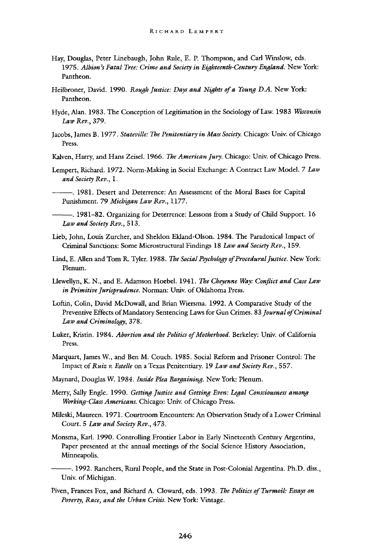- Hay, Douglas, Peter Linebaugh, John Rnle, E. P. Thompson, and Carl Winslow, eds. 1975. *Albion's Fatal Tree: Crime and Society in Eighteenth-Century England.* New York: Pantheon.
- Heilbroner, David. 1990. *Rough Justice: Days and Nights of a Young D.A.* New York: Pantheon.
- Hyde, Alan. 1983. The Conception of Legitimation in the Sociology of Law. 1983 *Wisconsin Law Rev.,* 379.
- Jacobs, James B. 1977. *Stateville: The Penitentiary in Mass Society.* Chicago: Univ. of Chicago Press.
- Kalven, Harry, and Hans Zeise!. 1966. *The American Jury.* Chicago: Univ. of Chicago Press.
- Lempert, Richard. 1972. Norm-Making in Social Exchange: A Contract Law Model. 7 *Law and Society Rev.,* 1.
- -. 1981. Desert and Deterrence: An Assessment of the Moral Bases for Capital Punishment. 79 *Michigan Law Rev.,* 1177.
	- --. 1981-82. Organizing for Deterrence: Lessons from a Study of Child Support. 16 *Law and Society Rev.,* 513.
- Lieb, John, Louis Zurcher, and Sheldon Ekland-Olson. 1984. The Paradoxical Impact of Criminal Sanctions: Some Microstructural Findings 18 *Law and Society Rev.,* 159.
- Lind, E. Allen and Tom R. Tyler. 1988. *The Social Psychology of Procedural Justice.* New York: Plenum.
- Llewellyn, K. N., and E. Adamson Hoebel. 1941. *The Cheyenne Way: Conflict and Case Law in Primitive Jurisprudence.* Norman: Univ. of Oklahoma Press.
- Lofrin, Colin, David McDowall, and Brian Wiersma. 1992. A Comparative Study of the Preventive Effects of Mandatory Sentencing Laws for Gun Crimes. 83 *Journal of Criminal Law and Criminology,* 378.
- Luker, Kristin. 1984. *Abortion and the Politics of Motherhood.* Berkeley: Univ. of California Press.
- Marquart, James W., and Ben M. Couch. 1985. Social Reform and Prisoner Control: The Impact of *Ruiz v. Estelle* on a Texas Penitentiary. 19 *Law and Society Rev.,* 557.
- Maynard, Douglas W. 1984. *Inside Plea Bawaining.* New York: Plenum.
- Merry, Sally Engle. 1990. *Getting Justice and Getting Even: Legal Consciousness among Working-Class Americans.* Chicago: Univ. of Chicago Press.
- Mileski, Maureen. 1971. Courtroom Encounters: An Observation Study of a Lower Criminal Court. 5 *Law and Society Rev.,* 473.
- Monsma, Karl. 1990. Controlling Frontier Labor in Early Nineteenth Century Argentina, Paper presented at the annual meetings of the Social Science History Association, Minneapolis.
- ---. 1992. Ranchers, Rural People, and the State in Post-Colonial Argentina. Ph.D. diss., Univ. of Michigan.
- Piven, Frances Fox, and Richard A. Cloward, eds. 1993. *The Politics of Turmoil: Essays on Poverty, Race, and the Urban Crisis.* New York: Vintage.